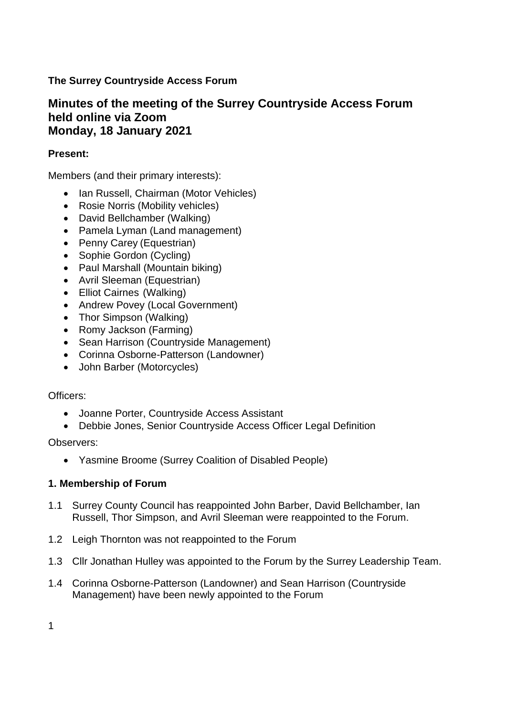# **The Surrey Countryside Access Forum**

# **Minutes of the meeting of the Surrey Countryside Access Forum held online via Zoom Monday, 18 January 2021**

## **Present:**

Members (and their primary interests):

- Ian Russell, Chairman (Motor Vehicles)
- Rosie Norris (Mobility vehicles)
- David Bellchamber (Walking)
- Pamela Lyman (Land management)
- Penny Carey (Equestrian)
- Sophie Gordon (Cycling)
- Paul Marshall (Mountain biking)
- Avril Sleeman (Equestrian)
- Elliot Cairnes (Walking)
- Andrew Povey (Local Government)
- Thor Simpson (Walking)
- Romy Jackson (Farming)
- Sean Harrison (Countryside Management)
- Corinna Osborne-Patterson (Landowner)
- John Barber (Motorcycles)

## Officers:

- Joanne Porter, Countryside Access Assistant
- Debbie Jones, Senior Countryside Access Officer Legal Definition

Observers:

• Yasmine Broome (Surrey Coalition of Disabled People)

## **1. Membership of Forum**

- 1.1 Surrey County Council has reappointed John Barber, David Bellchamber, Ian Russell, Thor Simpson, and Avril Sleeman were reappointed to the Forum.
- 1.2 Leigh Thornton was not reappointed to the Forum
- 1.3 Cllr Jonathan Hulley was appointed to the Forum by the Surrey Leadership Team.
- 1.4 Corinna Osborne-Patterson (Landowner) and Sean Harrison (Countryside Management) have been newly appointed to the Forum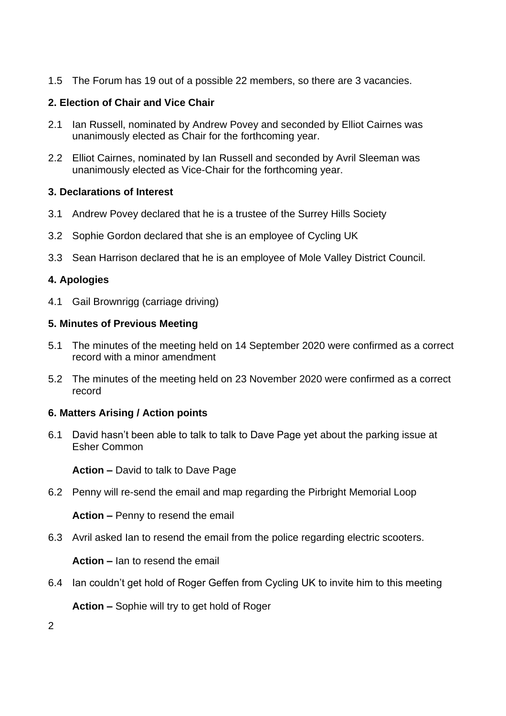1.5 The Forum has 19 out of a possible 22 members, so there are 3 vacancies.

# **2. Election of Chair and Vice Chair**

- 2.1 Ian Russell, nominated by Andrew Povey and seconded by Elliot Cairnes was unanimously elected as Chair for the forthcoming year.
- 2.2 Elliot Cairnes, nominated by Ian Russell and seconded by Avril Sleeman was unanimously elected as Vice-Chair for the forthcoming year.

## **3. Declarations of Interest**

- 3.1 Andrew Povey declared that he is a trustee of the Surrey Hills Society
- 3.2 Sophie Gordon declared that she is an employee of Cycling UK
- 3.3 Sean Harrison declared that he is an employee of Mole Valley District Council.

# **4. Apologies**

4.1 Gail Brownrigg (carriage driving)

## **5. Minutes of Previous Meeting**

- 5.1 The minutes of the meeting held on 14 September 2020 were confirmed as a correct record with a minor amendment
- 5.2 The minutes of the meeting held on 23 November 2020 were confirmed as a correct record

## **6. Matters Arising / Action points**

6.1 David hasn't been able to talk to talk to Dave Page yet about the parking issue at Esher Common

**Action –** David to talk to Dave Page

6.2 Penny will re-send the email and map regarding the Pirbright Memorial Loop

**Action –** Penny to resend the email

6.3 Avril asked Ian to resend the email from the police regarding electric scooters.

**Action –** Ian to resend the email

6.4 Ian couldn't get hold of Roger Geffen from Cycling UK to invite him to this meeting

**Action –** Sophie will try to get hold of Roger

2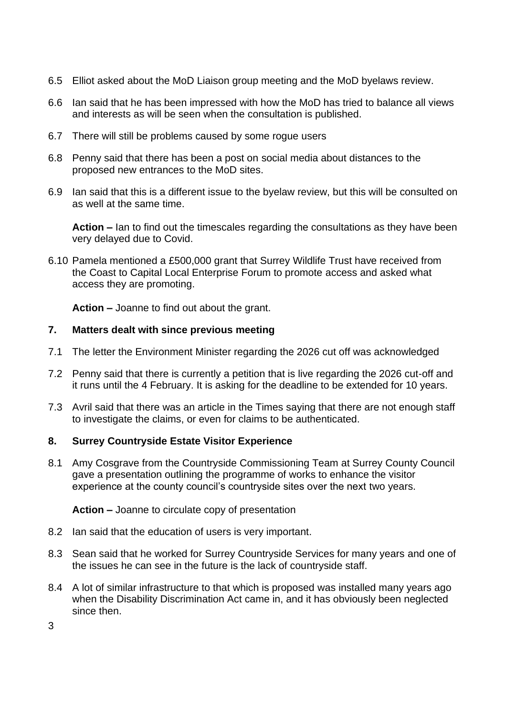- 6.5 Elliot asked about the MoD Liaison group meeting and the MoD byelaws review.
- 6.6 Ian said that he has been impressed with how the MoD has tried to balance all views and interests as will be seen when the consultation is published.
- 6.7 There will still be problems caused by some rogue users
- 6.8 Penny said that there has been a post on social media about distances to the proposed new entrances to the MoD sites.
- 6.9 Ian said that this is a different issue to the byelaw review, but this will be consulted on as well at the same time.

**Action –** Ian to find out the timescales regarding the consultations as they have been very delayed due to Covid.

6.10 Pamela mentioned a £500,000 grant that Surrey Wildlife Trust have received from the Coast to Capital Local Enterprise Forum to promote access and asked what access they are promoting.

**Action –** Joanne to find out about the grant.

## **7. Matters dealt with since previous meeting**

- 7.1 The letter the Environment Minister regarding the 2026 cut off was acknowledged
- 7.2 Penny said that there is currently a petition that is live regarding the 2026 cut-off and it runs until the 4 February. It is asking for the deadline to be extended for 10 years.
- 7.3 Avril said that there was an article in the Times saying that there are not enough staff to investigate the claims, or even for claims to be authenticated.

## **8. Surrey Countryside Estate Visitor Experience**

8.1 Amy Cosgrave from the Countryside Commissioning Team at Surrey County Council gave a presentation outlining the programme of works to enhance the visitor experience at the county council's countryside sites over the next two years.

**Action –** Joanne to circulate copy of presentation

- 8.2 Ian said that the education of users is very important.
- 8.3 Sean said that he worked for Surrey Countryside Services for many years and one of the issues he can see in the future is the lack of countryside staff.
- 8.4 A lot of similar infrastructure to that which is proposed was installed many years ago when the Disability Discrimination Act came in, and it has obviously been neglected since then.

3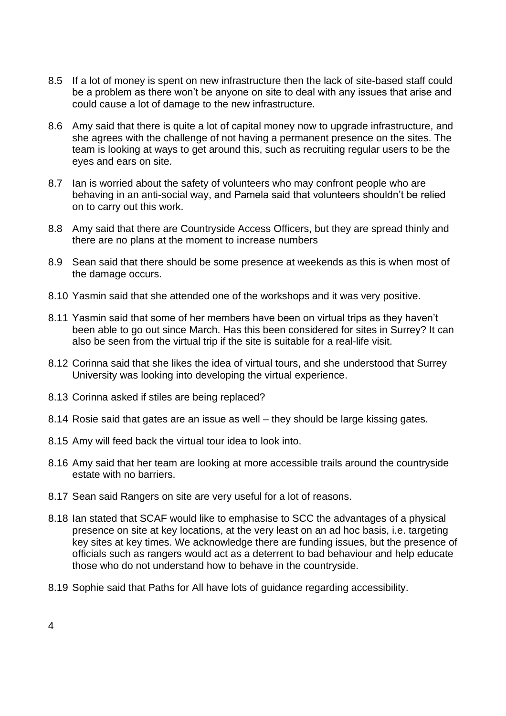- 8.5 If a lot of money is spent on new infrastructure then the lack of site-based staff could be a problem as there won't be anyone on site to deal with any issues that arise and could cause a lot of damage to the new infrastructure.
- 8.6 Amy said that there is quite a lot of capital money now to upgrade infrastructure, and she agrees with the challenge of not having a permanent presence on the sites. The team is looking at ways to get around this, such as recruiting regular users to be the eyes and ears on site.
- 8.7 Ian is worried about the safety of volunteers who may confront people who are behaving in an anti-social way, and Pamela said that volunteers shouldn't be relied on to carry out this work.
- 8.8 Amy said that there are Countryside Access Officers, but they are spread thinly and there are no plans at the moment to increase numbers
- 8.9 Sean said that there should be some presence at weekends as this is when most of the damage occurs.
- 8.10 Yasmin said that she attended one of the workshops and it was very positive.
- 8.11 Yasmin said that some of her members have been on virtual trips as they haven't been able to go out since March. Has this been considered for sites in Surrey? It can also be seen from the virtual trip if the site is suitable for a real-life visit.
- 8.12 Corinna said that she likes the idea of virtual tours, and she understood that Surrey University was looking into developing the virtual experience.
- 8.13 Corinna asked if stiles are being replaced?
- 8.14 Rosie said that gates are an issue as well they should be large kissing gates.
- 8.15 Amy will feed back the virtual tour idea to look into.
- 8.16 Amy said that her team are looking at more accessible trails around the countryside estate with no barriers.
- 8.17 Sean said Rangers on site are very useful for a lot of reasons.
- 8.18 Ian stated that SCAF would like to emphasise to SCC the advantages of a physical presence on site at key locations, at the very least on an ad hoc basis, i.e. targeting key sites at key times. We acknowledge there are funding issues, but the presence of officials such as rangers would act as a deterrent to bad behaviour and help educate those who do not understand how to behave in the countryside.
- 8.19 Sophie said that Paths for All have lots of guidance regarding accessibility.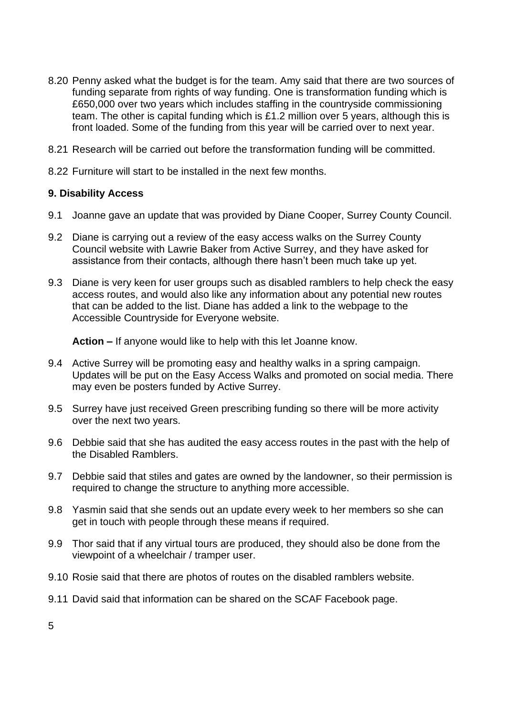- 8.20 Penny asked what the budget is for the team. Amy said that there are two sources of funding separate from rights of way funding. One is transformation funding which is £650,000 over two years which includes staffing in the countryside commissioning team. The other is capital funding which is £1.2 million over 5 years, although this is front loaded. Some of the funding from this year will be carried over to next year.
- 8.21 Research will be carried out before the transformation funding will be committed.
- 8.22 Furniture will start to be installed in the next few months.

#### **9. Disability Access**

- 9.1 Joanne gave an update that was provided by Diane Cooper, Surrey County Council.
- 9.2 Diane is carrying out a review of the easy access walks on the Surrey County Council website with Lawrie Baker from Active Surrey, and they have asked for assistance from their contacts, although there hasn't been much take up yet.
- 9.3 Diane is very keen for user groups such as disabled ramblers to help check the easy access routes, and would also like any information about any potential new routes that can be added to the list. Diane has added a link to the webpage to the Accessible Countryside for Everyone website.

**Action –** If anyone would like to help with this let Joanne know.

- 9.4 Active Surrey will be promoting easy and healthy walks in a spring campaign. Updates will be put on the Easy Access Walks and promoted on social media. There may even be posters funded by Active Surrey.
- 9.5 Surrey have just received Green prescribing funding so there will be more activity over the next two years.
- 9.6 Debbie said that she has audited the easy access routes in the past with the help of the Disabled Ramblers.
- 9.7 Debbie said that stiles and gates are owned by the landowner, so their permission is required to change the structure to anything more accessible.
- 9.8 Yasmin said that she sends out an update every week to her members so she can get in touch with people through these means if required.
- 9.9 Thor said that if any virtual tours are produced, they should also be done from the viewpoint of a wheelchair / tramper user.
- 9.10 Rosie said that there are photos of routes on the disabled ramblers website.
- 9.11 David said that information can be shared on the SCAF Facebook page.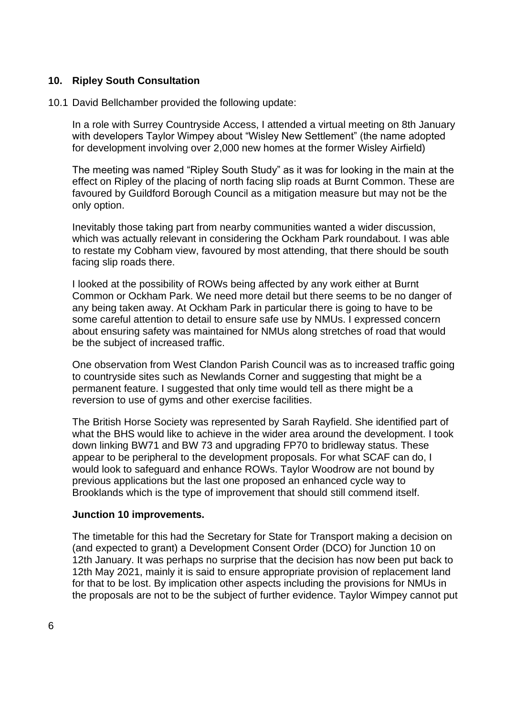## **10. Ripley South Consultation**

#### 10.1 David Bellchamber provided the following update:

In a role with Surrey Countryside Access, I attended a virtual meeting on 8th January with developers Taylor Wimpey about "Wisley New Settlement" (the name adopted for development involving over 2,000 new homes at the former Wisley Airfield)

The meeting was named "Ripley South Study" as it was for looking in the main at the effect on Ripley of the placing of north facing slip roads at Burnt Common. These are favoured by Guildford Borough Council as a mitigation measure but may not be the only option.

Inevitably those taking part from nearby communities wanted a wider discussion, which was actually relevant in considering the Ockham Park roundabout. I was able to restate my Cobham view, favoured by most attending, that there should be south facing slip roads there.

I looked at the possibility of ROWs being affected by any work either at Burnt Common or Ockham Park. We need more detail but there seems to be no danger of any being taken away. At Ockham Park in particular there is going to have to be some careful attention to detail to ensure safe use by NMUs. I expressed concern about ensuring safety was maintained for NMUs along stretches of road that would be the subject of increased traffic.

One observation from West Clandon Parish Council was as to increased traffic going to countryside sites such as Newlands Corner and suggesting that might be a permanent feature. I suggested that only time would tell as there might be a reversion to use of gyms and other exercise facilities.

The British Horse Society was represented by Sarah Rayfield. She identified part of what the BHS would like to achieve in the wider area around the development. I took down linking BW71 and BW 73 and upgrading FP70 to bridleway status. These appear to be peripheral to the development proposals. For what SCAF can do, I would look to safeguard and enhance ROWs. Taylor Woodrow are not bound by previous applications but the last one proposed an enhanced cycle way to Brooklands which is the type of improvement that should still commend itself.

#### **Junction 10 improvements.**

The timetable for this had the Secretary for State for Transport making a decision on (and expected to grant) a Development Consent Order (DCO) for Junction 10 on 12th January. It was perhaps no surprise that the decision has now been put back to 12th May 2021, mainly it is said to ensure appropriate provision of replacement land for that to be lost. By implication other aspects including the provisions for NMUs in the proposals are not to be the subject of further evidence. Taylor Wimpey cannot put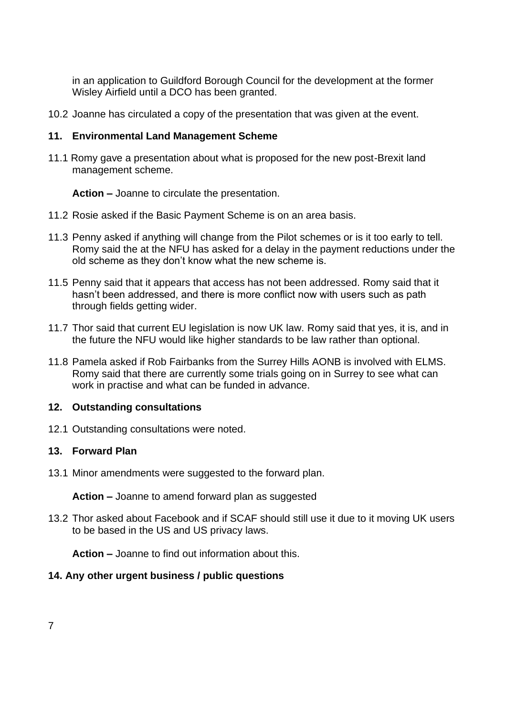in an application to Guildford Borough Council for the development at the former Wisley Airfield until a DCO has been granted.

10.2 Joanne has circulated a copy of the presentation that was given at the event.

#### **11. Environmental Land Management Scheme**

11.1 Romy gave a presentation about what is proposed for the new post-Brexit land management scheme.

**Action –** Joanne to circulate the presentation.

- 11.2 Rosie asked if the Basic Payment Scheme is on an area basis.
- 11.3 Penny asked if anything will change from the Pilot schemes or is it too early to tell. Romy said the at the NFU has asked for a delay in the payment reductions under the old scheme as they don't know what the new scheme is.
- 11.5 Penny said that it appears that access has not been addressed. Romy said that it hasn't been addressed, and there is more conflict now with users such as path through fields getting wider.
- 11.7 Thor said that current EU legislation is now UK law. Romy said that yes, it is, and in the future the NFU would like higher standards to be law rather than optional.
- 11.8 Pamela asked if Rob Fairbanks from the Surrey Hills AONB is involved with ELMS. Romy said that there are currently some trials going on in Surrey to see what can work in practise and what can be funded in advance.

## **12. Outstanding consultations**

12.1 Outstanding consultations were noted.

## **13. Forward Plan**

13.1 Minor amendments were suggested to the forward plan.

**Action –** Joanne to amend forward plan as suggested

13.2 Thor asked about Facebook and if SCAF should still use it due to it moving UK users to be based in the US and US privacy laws.

**Action –** Joanne to find out information about this.

## **14. Any other urgent business / public questions**